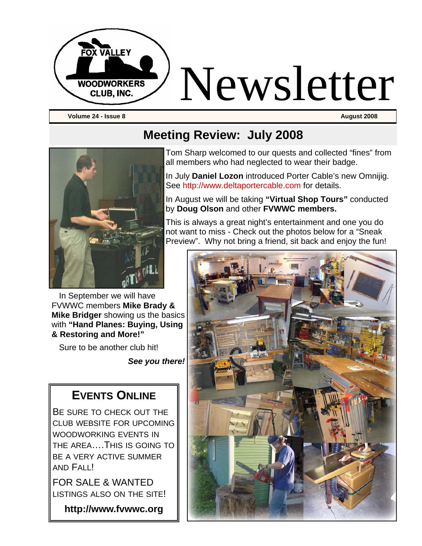

**Volume 24 - Issue 8** August 2008 **August 2008 August 2008** 



In September we will have FVWWC members **Mike Brady & Mike Bridger** showing us the basics with **"Hand Planes: Buying, Using & Restoring and More!"** 

Sure to be another club hit!

*See you there!*

### **EVENTS ONLINE**

BE SURE TO CHECK OUT THE CLUB WEBSITE FOR UPCOMING WOODWORKING EVENTS IN THE AREA….THIS IS GOING TO BE A VERY ACTIVE SUMMER AND FALL!

FOR SALE & WANTED LISTINGS ALSO ON THE SITE!

**http://www.fvwwc.org** 

## **Meeting Review: July 2008**

Tom Sharp welcomed to our quests and collected "fines" from all members who had neglected to wear their badge.

In July **Daniel Lozon** introduced Porter Cable's new Omnijig. See http://www.deltaportercable.com for details.

In August we will be taking **"Virtual Shop Tours"** conducted by **Doug Olson** and other **FVWWC members.** 

This is always a great night's entertainment and one you do not want to miss - Check out the photos below for a "Sneak Preview". Why not bring a friend, sit back and enjoy the fun!

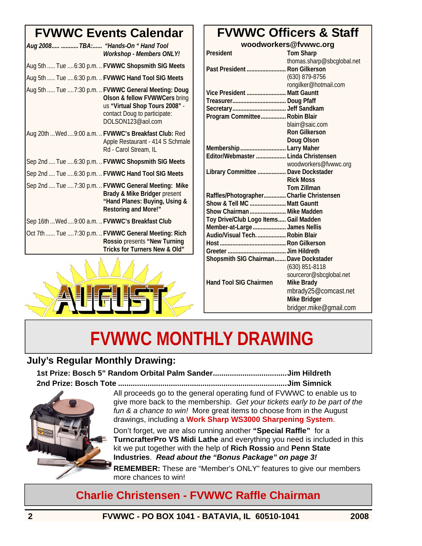## **FVWWC Events Calendar**

| Aug 2008  TBA: "Hands-On " Hand Tool<br><b>Workshop - Members ONLY!</b>                                                                                                      |
|------------------------------------------------------------------------------------------------------------------------------------------------------------------------------|
| Aug 5th  Tue  6:30 p.m.  FVWWC Shopsmith SIG Meets                                                                                                                           |
| Aug 5th  Tue  6:30 p.m.  FVWWC Hand Tool SIG Meets                                                                                                                           |
| Aug 5th  Tue  7:30 p.m.  FVWWC General Meeting: Doug<br>Olson & fellow FVWWCers bring<br>us "Virtual Shop Tours 2008" -<br>contact Doug to participate:<br>DOLSON123@aol.com |
| Aug 20th  Wed  9:00 a.m.  FVWWC's Breakfast Club: Red<br>Apple Restaurant - 414 S Schmale<br>Rd - Carol Stream, IL                                                           |
| Sep 2nd  Tue  6:30 p.m.  FVWWC Shopsmith SIG Meets                                                                                                                           |
| Sep 2nd  Tue  6:30 p.m.  FVWWC Hand Tool SIG Meets                                                                                                                           |
| Sep 2nd  Tue  7:30 p.m.  FVWWC General Meeting: Mike<br>Brady & Mike Bridger present<br>"Hand Planes: Buying, Using &<br><b>Restoring and More!"</b>                         |
| Sep 16th  Wed  9:00 a.m.  FVWWC's Breakfast Club                                                                                                                             |
| Oct 7th  Tue  7:30 p.m.  FVWWC General Meeting: Rich<br>Rossio presents "New Turning<br>Tricks for Turners New & Old"                                                        |



## **FVWWC Officers & Staff**

**woodworkers@fvwwc.org** 

| President                                | <b>Tom Sharp</b>           |
|------------------------------------------|----------------------------|
|                                          | thomas.sharp@sbcglobal.net |
| Past President  Ron Gilkerson            |                            |
|                                          | (630) 879-8756             |
|                                          | rongilker@hotmail.com      |
| Vice President  Matt Gauntt              |                            |
|                                          |                            |
|                                          |                            |
| Program Committee Robin Blair            |                            |
|                                          | blairr@saic.com            |
|                                          | <b>Ron Gilkerson</b>       |
|                                          | Doug Olson                 |
| Membership  Larry Maher                  |                            |
| Editor/Webmaster  Linda Christensen      |                            |
|                                          | woodworkers@fvwwc.org      |
| Library Committee  Dave Dockstader       |                            |
|                                          | <b>Rick Moss</b>           |
|                                          | <b>Tom Zillman</b>         |
| Raffles/Photographer Charlie Christensen |                            |
| Show & Tell MC  Matt Gauntt              |                            |
| Show Chairman  Mike Madden               |                            |
| Toy Drive/Club Logo Items Gail Madden    |                            |
| Member-at-Large  James Nellis            |                            |
| Audio/Visual Tech Robin Blair            |                            |
|                                          |                            |
|                                          |                            |
| Shopsmith SIG Chairman Dave Dockstader   |                            |
|                                          | (630) 851-8118             |
|                                          | sourceror@sbcglobal.net    |
| <b>Hand Tool SIG Chairmen</b>            | <b>Mike Brady</b>          |
|                                          | mbrady25@comcast.net       |
|                                          | <b>Mike Bridger</b>        |
|                                          | bridger.mike@gmail.com     |

# **FVWWC MONTHLY DRAWING**

### **July's Regular Monthly Drawing:**

**1st Prize: Bosch 5" Random Orbital Palm Sander...................................Jim Hildreth 2nd Prize: Bosch Tote ................................................................................Jim Simnick** 



All proceeds go to the general operating fund of FVWWC to enable us to give more back to the membership. *Get your tickets early to be part of the fun & a chance to win!* More great items to choose from in the August drawings, including a **Work Sharp WS3000 Sharpening System**.

Don't forget, we are also running another **"Special Raffle"** for a **TurncrafterPro VS Midi Lathe** and everything you need is included in this kit we put together with the help of **Rich Rossio** and **Penn State Industries**. *Read about the "Bonus Package" on page 3!*

**REMEMBER:** These are "Member's ONLY" features to give our members more chances to win!

### **Charlie Christensen - FVWWC Raffle Chairman**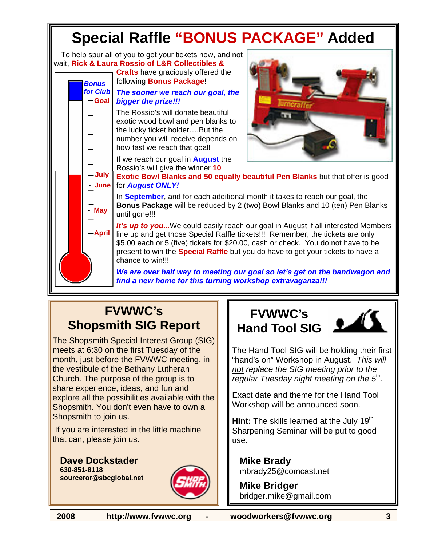

### **FVWWC's Shopsmith SIG Report**

The Shopsmith Special Interest Group (SIG) meets at 6:30 on the first Tuesday of the month, just before the FVWWC meeting, in the vestibule of the Bethany Lutheran Church. The purpose of the group is to share experience, ideas, and fun and explore all the possibilities available with the Shopsmith. You don't even have to own a Shopsmith to join us.

 If you are interested in the little machine that can, please join us.

**Dave Dockstader 630-851-8118 sourceror@sbcglobal.net**



### **FVWWC's Hand Tool SIG**



The Hand Tool SIG will be holding their first "hand's on" Workshop in August. *This will not replace the SIG meeting prior to the regular Tuesday night meeting on the 5*th*.* 

Exact date and theme for the Hand Tool Workshop will be announced soon.

**Hint:** The skills learned at the July 19<sup>th</sup> Sharpening Seminar will be put to good use.

**Mike Brady**  mbrady25@comcast.net

**Mike Bridger**  bridger.mike@gmail.com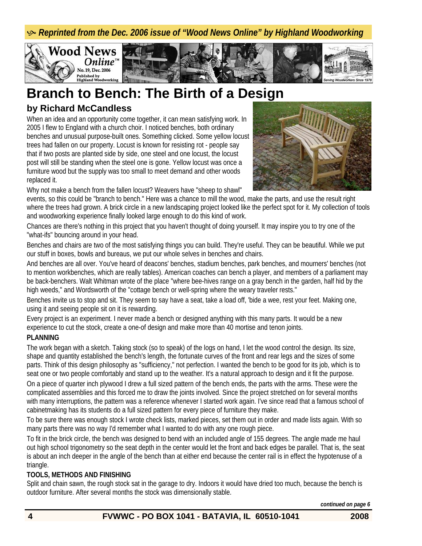**& Reprinted from the Dec. 2006 issue of "Wood News Online" by Highland Woodworking** 



### **Branch to Bench: The Birth of a Design**

### **by Richard McCandless**

When an idea and an opportunity come together, it can mean satisfying work. In 2005 I flew to England with a church choir. I noticed benches, both ordinary benches and unusual purpose-built ones. Something clicked. Some yellow locust trees had fallen on our property. Locust is known for resisting rot - people say that if two posts are planted side by side, one steel and one locust, the locust post will still be standing when the steel one is gone. Yellow locust was once a furniture wood but the supply was too small to meet demand and other woods replaced it.



Why not make a bench from the fallen locust? Weavers have "sheep to shawl"

events, so this could be "branch to bench." Here was a chance to mill the wood, make the parts, and use the result right where the trees had grown. A brick circle in a new landscaping project looked like the perfect spot for it. My collection of tools and woodworking experience finally looked large enough to do this kind of work.

Chances are there's nothing in this project that you haven't thought of doing yourself. It may inspire you to try one of the "what-ifs" bouncing around in your head.

Benches and chairs are two of the most satisfying things you can build. They're useful. They can be beautiful. While we put our stuff in boxes, bowls and bureaus, we put our whole selves in benches and chairs.

And benches are all over. You've heard of deacons' benches, stadium benches, park benches, and mourners' benches (not to mention workbenches, which are really tables). American coaches can bench a player, and members of a parliament may be back-benchers. Walt Whitman wrote of the place "where bee-hives range on a gray bench in the garden, half hid by the high weeds," and Wordsworth of the "cottage bench or well-spring where the weary traveler rests."

Benches invite us to stop and sit. They seem to say have a seat, take a load off, 'bide a wee, rest your feet. Making one, using it and seeing people sit on it is rewarding.

Every project is an experiment. I never made a bench or designed anything with this many parts. It would be a new experience to cut the stock, create a one-of design and make more than 40 mortise and tenon joints.

#### **PLANNING**

The work began with a sketch. Taking stock (so to speak) of the logs on hand, I let the wood control the design. Its size, shape and quantity established the bench's length, the fortunate curves of the front and rear legs and the sizes of some parts. Think of this design philosophy as "sufficiency," not perfection. I wanted the bench to be good for its job, which is to seat one or two people comfortably and stand up to the weather. It's a natural approach to design and it fit the purpose. On a piece of quarter inch plywood I drew a full sized pattern of the bench ends, the parts with the arms. These were the complicated assemblies and this forced me to draw the joints involved. Since the project stretched on for several months with many interruptions, the pattern was a reference whenever I started work again. I've since read that a famous school of cabinetmaking has its students do a full sized pattern for every piece of furniture they make.

To be sure there was enough stock I wrote check lists, marked pieces, set them out in order and made lists again. With so many parts there was no way I'd remember what I wanted to do with any one rough piece.

To fit in the brick circle, the bench was designed to bend with an included angle of 155 degrees. The angle made me haul out high school trigonometry so the seat depth in the center would let the front and back edges be parallel. That is, the seat is about an inch deeper in the angle of the bench than at either end because the center rail is in effect the hypotenuse of a triangle.

#### **TOOLS, METHODS AND FINISHING**

Split and chain sawn, the rough stock sat in the garage to dry. Indoors it would have dried too much, because the bench is outdoor furniture. After several months the stock was dimensionally stable.

*continued on page 6*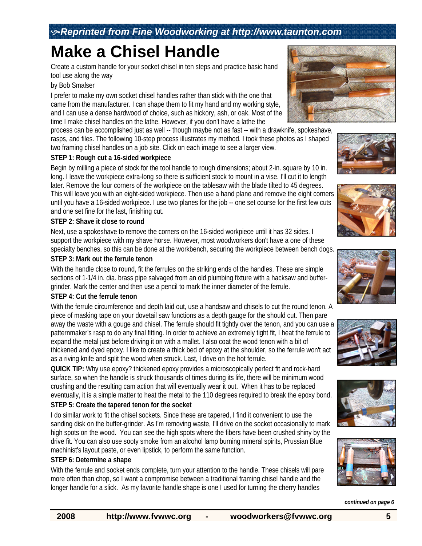# **Make a Chisel Handle**

Create a custom handle for your socket chisel in ten steps and practice basic hand tool use along the way

#### by Bob Smalser

I prefer to make my own socket chisel handles rather than stick with the one that came from the manufacturer. I can shape them to fit my hand and my working style, and I can use a dense hardwood of choice, such as hickory, ash, or oak. Most of the time I make chisel handles on the lathe. However, if you don't have a lathe the

process can be accomplished just as well -- though maybe not as fast -- with a drawknife, spokeshave, rasps, and files. The following 10-step process illustrates my method. I took these photos as I shaped two framing chisel handles on a job site. Click on each image to see a larger view.

#### **STEP 1: Rough cut a 16-sided workpiece**

Begin by milling a piece of stock for the tool handle to rough dimensions; about 2-in. square by 10 in. long. I leave the workpiece extra-long so there is sufficient stock to mount in a vise. I'll cut it to length later. Remove the four corners of the workpiece on the tablesaw with the blade tilted to 45 degrees. This will leave you with an eight-sided workpiece. Then use a hand plane and remove the eight corners until you have a 16-sided workpiece. I use two planes for the job -- one set course for the first few cuts and one set fine for the last, finishing cut.

#### **STEP 2: Shave it close to round**

Next, use a spokeshave to remove the corners on the 16-sided workpiece until it has 32 sides. I support the workpiece with my shave horse. However, most woodworkers don't have a one of these specialty benches, so this can be done at the workbench, securing the workpiece between bench dogs.

#### **STEP 3: Mark out the ferrule tenon**

With the handle close to round, fit the ferrules on the striking ends of the handles. These are simple sections of 1-1/4 in. dia. brass pipe salvaged from an old plumbing fixture with a hacksaw and buffergrinder. Mark the center and then use a pencil to mark the inner diameter of the ferrule.

#### **STEP 4: Cut the ferrule tenon**

With the ferrule circumference and depth laid out, use a handsaw and chisels to cut the round tenon. A piece of masking tape on your dovetail saw functions as a depth gauge for the should cut. Then pare away the waste with a gouge and chisel. The ferrule should fit tightly over the tenon, and you can use a patternmaker's rasp to do any final fitting. In order to achieve an extremely tight fit, I heat the ferrule to expand the metal just before driving it on with a mallet. I also coat the wood tenon with a bit of thickened and dyed epoxy. I like to create a thick bed of epoxy at the shoulder, so the ferrule won't act as a riving knife and split the wood when struck. Last, I drive on the hot ferrule.

**QUICK TIP:** Why use epoxy? thickened epoxy provides a microscopically perfect fit and rock-hard surface, so when the handle is struck thousands of times during its life, there will be minimum wood crushing and the resulting cam action that will eventually wear it out. When it has to be replaced eventually, it is a simple matter to heat the metal to the 110 degrees required to break the epoxy bond.

#### **STEP 5: Create the tapered tenon for the socket**

I do similar work to fit the chisel sockets. Since these are tapered, I find it convenient to use the sanding disk on the buffer-grinder. As I'm removing waste, I'll drive on the socket occasionally to mark high spots on the wood. You can see the high spots where the fibers have been crushed shiny by the drive fit. You can also use sooty smoke from an alcohol lamp burning mineral spirits, Prussian Blue machinist's layout paste, or even lipstick, to perform the same function.

#### **STEP 6: Determine a shape**

With the ferrule and socket ends complete, turn your attention to the handle. These chisels will pare more often than chop, so I want a compromise between a traditional framing chisel handle and the longer handle for a slick. As my favorite handle shape is one I used for turning the cherry handles















*continued on page 6*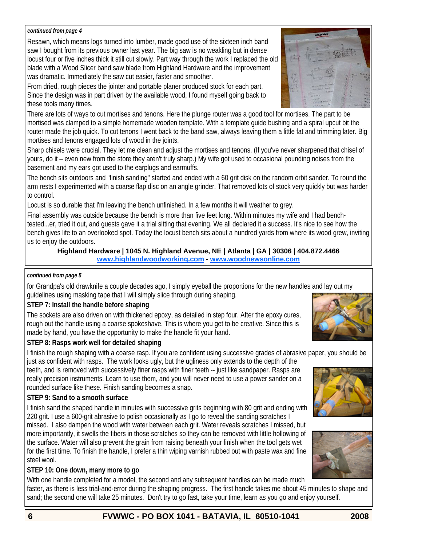#### *continued from page 4*

Resawn, which means logs turned into lumber, made good use of the sixteen inch band saw I bought from its previous owner last year. The big saw is no weakling but in dense locust four or five inches thick it still cut slowly. Part way through the work I replaced the old blade with a Wood Slicer band saw blade from Highland Hardware and the improvement was dramatic. Immediately the saw cut easier, faster and smoother.

From dried, rough pieces the jointer and portable planer produced stock for each part. Since the design was in part driven by the available wood, I found myself going back to these tools many times.

There are lots of ways to cut mortises and tenons. Here the plunge router was a good tool for mortises. The part to be mortised was clamped to a simple homemade wooden template. With a template guide bushing and a spiral upcut bit the router made the job quick. To cut tenons I went back to the band saw, always leaving them a little fat and trimming later. Big mortises and tenons engaged lots of wood in the joints.

Sharp chisels were crucial. They let me clean and adjust the mortises and tenons. (If you've never sharpened that chisel of yours, do it – even new from the store they aren't truly sharp.) My wife got used to occasional pounding noises from the basement and my ears got used to the earplugs and earmuffs.

The bench sits outdoors and "finish sanding" started and ended with a 60 grit disk on the random orbit sander. To round the arm rests I experimented with a coarse flap disc on an angle grinder. That removed lots of stock very quickly but was harder to control.

Locust is so durable that I'm leaving the bench unfinished. In a few months it will weather to grey.

Final assembly was outside because the bench is more than five feet long. Within minutes my wife and I had benchtested...er, tried it out, and guests gave it a trial sitting that evening. We all declared it a success. It's nice to see how the bench gives life to an overlooked spot. Today the locust bench sits about a hundred yards from where its wood grew, inviting us to enjoy the outdoors.

#### **Highland Hardware | 1045 N. Highland Avenue, NE | Atlanta | GA | 30306 | 404.872.4466 www.highlandwoodworking.com - www.woodnewsonline.com**

#### *continued from page 5*

for Grandpa's old drawknife a couple decades ago, I simply eyeball the proportions for the new handles and lay out my guidelines using masking tape that I will simply slice through during shaping.

#### **STEP 7: Install the handle before shaping**

The sockets are also driven on with thickened epoxy, as detailed in step four. After the epoxy cures, rough out the handle using a coarse spokeshave. This is where you get to be creative. Since this is made by hand, you have the opportunity to make the handle fit your hand.

#### **STEP 8: Rasps work well for detailed shaping**

I finish the rough shaping with a coarse rasp. If you are confident using successive grades of abrasive paper, you should be just as confident with rasps. The work looks ugly, but the ugliness only extends to the depth of the

teeth, and is removed with successively finer rasps with finer teeth -- just like sandpaper. Rasps are really precision instruments. Learn to use them, and you will never need to use a power sander on a rounded surface like these. Finish sanding becomes a snap.

#### **STEP 9: Sand to a smooth surface**

I finish sand the shaped handle in minutes with successive grits beginning with 80 grit and ending with 220 grit. I use a 600-grit abrasive to polish occasionally as I go to reveal the sanding scratches I

missed. I also dampen the wood with water between each grit. Water reveals scratches I missed, but more importantly, it swells the fibers in those scratches so they can be removed with little hollowing of the surface. Water will also prevent the grain from raising beneath your finish when the tool gets wet for the first time. To finish the handle, I prefer a thin wiping varnish rubbed out with paste wax and fine steel wool.

#### **STEP 10: One down, many more to go**

With one handle completed for a model, the second and any subsequent handles can be made much faster, as there is less trial-and-error during the shaping progress. The first handle takes me about 45 minutes to shape and sand; the second one will take 25 minutes. Don't try to go fast, take your time, learn as you go and enjoy yourself.







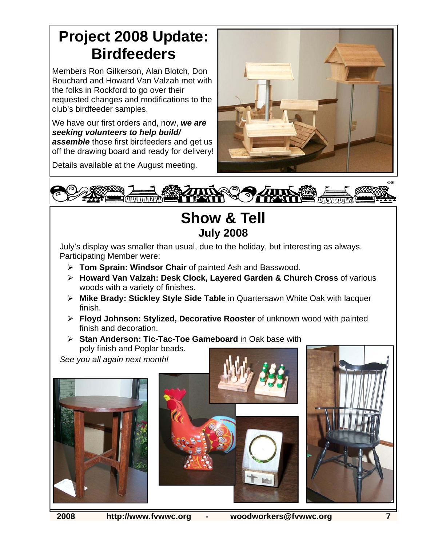# **Project 2008 Update: Birdfeeders**

Members Ron Gilkerson, Alan Blotch, Don Bouchard and Howard Van Valzah met with the folks in Rockford to go over their requested changes and modifications to the club's birdfeeder samples.

We have our first orders and, now, *we are seeking volunteers to help build/ assemble* those first birdfeeders and get us off the drawing board and ready for delivery!

Details available at the August meeting.





### **Show & Tell July 2008**

July's display was smaller than usual, due to the holiday, but interesting as always. Participating Member were:

- ¾ **Tom Sprain: Windsor Chair** of painted Ash and Basswood.
- ¾ **Howard Van Valzah: Desk Clock, Layered Garden & Church Cross** of various woods with a variety of finishes.
- ¾ **Mike Brady: Stickley Style Side Table** in Quartersawn White Oak with lacquer finish.
- ¾ **Floyd Johnson: Stylized, Decorative Rooster** of unknown wood with painted finish and decoration.
- ¾ **Stan Anderson: Tic-Tac-Toe Gameboard** in Oak base with poly finish and Poplar beads.

*See you all again next month!*